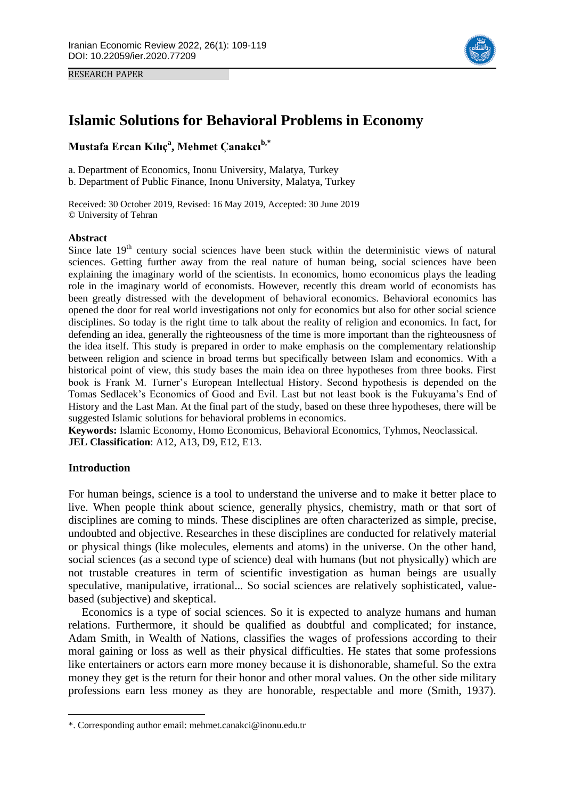



# **Islamic Solutions for Behavioral Problems in Economy**

**Mustafa Ercan Kılıç<sup>a</sup> , Mehmet Çanakcıb,\*1**

a. Department of Economics, Inonu University, Malatya, Turkey

b. Department of Public Finance, Inonu University, Malatya, Turkey

Received: 30 October 2019, Revised: 16 May 2019, Accepted: 30 June 2019 © University of Tehran

#### **Abstract**

Since late 19<sup>th</sup> century social sciences have been stuck within the deterministic views of natural sciences. Getting further away from the real nature of human being, social sciences have been explaining the imaginary world of the scientists. In economics, homo economicus plays the leading role in the imaginary world of economists. However, recently this dream world of economists has been greatly distressed with the development of behavioral economics. Behavioral economics has opened the door for real world investigations not only for economics but also for other social science disciplines. So today is the right time to talk about the reality of religion and economics. In fact, for defending an idea, generally the righteousness of the time is more important than the righteousness of the idea itself. This study is prepared in order to make emphasis on the complementary relationship between religion and science in broad terms but specifically between Islam and economics. With a historical point of view, this study bases the main idea on three hypotheses from three books. First book is Frank M. Turner's European Intellectual History. Second hypothesis is depended on the Tomas Sedlacek's Economics of Good and Evil. Last but not least book is the Fukuyama's End of History and the Last Man. At the final part of the study, based on these three hypotheses, there will be suggested Islamic solutions for behavioral problems in economics.

**Keywords:** Islamic Economy, Homo Economicus, Behavioral Economics, Tyhmos, Neoclassical. **JEL Classification**: A12, A13, D9, E12, E13.

## **Introduction**

**.** 

For human beings, science is a tool to understand the universe and to make it better place to live. When people think about science, generally physics, chemistry, math or that sort of disciplines are coming to minds. These disciplines are often characterized as simple, precise, undoubted and objective. Researches in these disciplines are conducted for relatively material or physical things (like molecules, elements and atoms) in the universe. On the other hand, social sciences (as a second type of science) deal with humans (but not physically) which are not trustable creatures in term of scientific investigation as human beings are usually speculative, manipulative, irrational... So social sciences are relatively sophisticated, valuebased (subjective) and skeptical.

Economics is a type of social sciences. So it is expected to analyze humans and human relations. Furthermore, it should be qualified as doubtful and complicated; for instance, Adam Smith, in Wealth of Nations, classifies the wages of professions according to their moral gaining or loss as well as their physical difficulties. He states that some professions like entertainers or actors earn more money because it is dishonorable, shameful. So the extra money they get is the return for their honor and other moral values. On the other side military professions earn less money as they are honorable, respectable and more (Smith, 1937).

<sup>\*.</sup> Corresponding author email: mehmet.canakci@inonu.edu.tr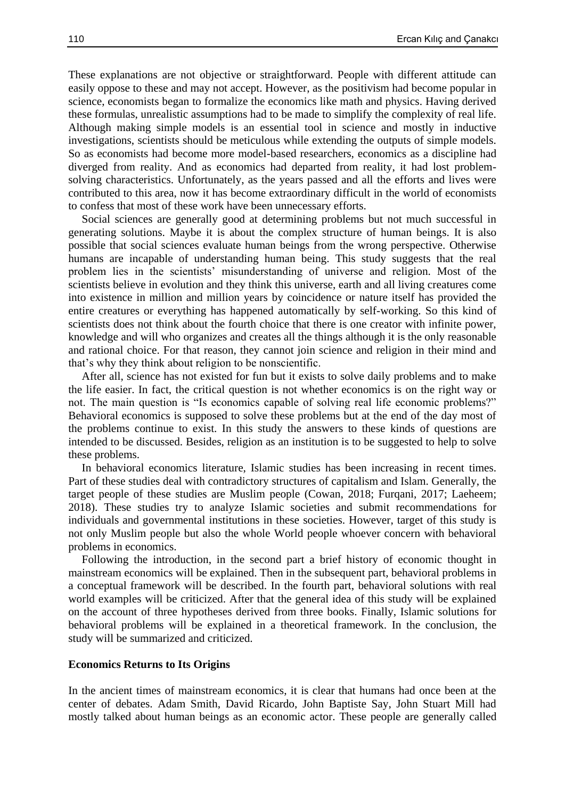These explanations are not objective or straightforward. People with different attitude can easily oppose to these and may not accept. However, as the positivism had become popular in science, economists began to formalize the economics like math and physics. Having derived these formulas, unrealistic assumptions had to be made to simplify the complexity of real life. Although making simple models is an essential tool in science and mostly in inductive investigations, scientists should be meticulous while extending the outputs of simple models. So as economists had become more model-based researchers, economics as a discipline had diverged from reality. And as economics had departed from reality, it had lost problemsolving characteristics. Unfortunately, as the years passed and all the efforts and lives were contributed to this area, now it has become extraordinary difficult in the world of economists to confess that most of these work have been unnecessary efforts.

Social sciences are generally good at determining problems but not much successful in generating solutions. Maybe it is about the complex structure of human beings. It is also possible that social sciences evaluate human beings from the wrong perspective. Otherwise humans are incapable of understanding human being. This study suggests that the real problem lies in the scientists' misunderstanding of universe and religion. Most of the scientists believe in evolution and they think this universe, earth and all living creatures come into existence in million and million years by coincidence or nature itself has provided the entire creatures or everything has happened automatically by self-working. So this kind of scientists does not think about the fourth choice that there is one creator with infinite power, knowledge and will who organizes and creates all the things although it is the only reasonable and rational choice. For that reason, they cannot join science and religion in their mind and that's why they think about religion to be nonscientific.

After all, science has not existed for fun but it exists to solve daily problems and to make the life easier. In fact, the critical question is not whether economics is on the right way or not. The main question is "Is economics capable of solving real life economic problems?" Behavioral economics is supposed to solve these problems but at the end of the day most of the problems continue to exist. In this study the answers to these kinds of questions are intended to be discussed. Besides, religion as an institution is to be suggested to help to solve these problems.

In behavioral economics literature, Islamic studies has been increasing in recent times. Part of these studies deal with contradictory structures of capitalism and Islam. Generally, the target people of these studies are Muslim people (Cowan, 2018; Furqani, 2017; Laeheem; 2018). These studies try to analyze Islamic societies and submit recommendations for individuals and governmental institutions in these societies. However, target of this study is not only Muslim people but also the whole World people whoever concern with behavioral problems in economics.

Following the introduction, in the second part a brief history of economic thought in mainstream economics will be explained. Then in the subsequent part, behavioral problems in a conceptual framework will be described. In the fourth part, behavioral solutions with real world examples will be criticized. After that the general idea of this study will be explained on the account of three hypotheses derived from three books. Finally, Islamic solutions for behavioral problems will be explained in a theoretical framework. In the conclusion, the study will be summarized and criticized.

#### **Economics Returns to Its Origins**

In the ancient times of mainstream economics, it is clear that humans had once been at the center of debates. Adam Smith, David Ricardo, John Baptiste Say, John Stuart Mill had mostly talked about human beings as an economic actor. These people are generally called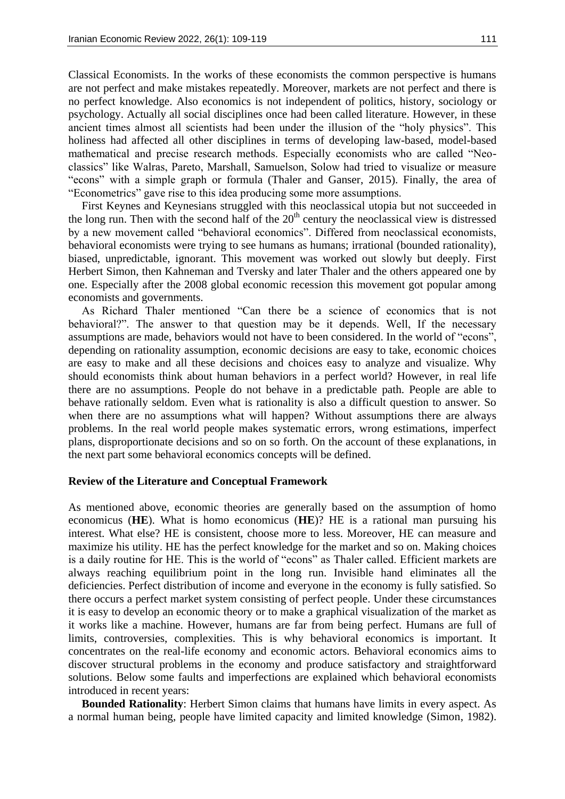Classical Economists. In the works of these economists the common perspective is humans are not perfect and make mistakes repeatedly. Moreover, markets are not perfect and there is no perfect knowledge. Also economics is not independent of politics, history, sociology or psychology. Actually all social disciplines once had been called literature. However, in these ancient times almost all scientists had been under the illusion of the "holy physics". This holiness had affected all other disciplines in terms of developing law-based, model-based mathematical and precise research methods. Especially economists who are called "Neoclassics" like Walras, Pareto, Marshall, Samuelson, Solow had tried to visualize or measure "econs" with a simple graph or formula (Thaler and Ganser, 2015). Finally, the area of "Econometrics" gave rise to this idea producing some more assumptions.

First Keynes and Keynesians struggled with this neoclassical utopia but not succeeded in the long run. Then with the second half of the  $20<sup>th</sup>$  century the neoclassical view is distressed by a new movement called "behavioral economics". Differed from neoclassical economists, behavioral economists were trying to see humans as humans; irrational (bounded rationality), biased, unpredictable, ignorant. This movement was worked out slowly but deeply. First Herbert Simon, then Kahneman and Tversky and later Thaler and the others appeared one by one. Especially after the 2008 global economic recession this movement got popular among economists and governments.

As Richard Thaler mentioned "Can there be a science of economics that is not behavioral?". The answer to that question may be it depends. Well, If the necessary assumptions are made, behaviors would not have to been considered. In the world of "econs", depending on rationality assumption, economic decisions are easy to take, economic choices are easy to make and all these decisions and choices easy to analyze and visualize. Why should economists think about human behaviors in a perfect world? However, in real life there are no assumptions. People do not behave in a predictable path. People are able to behave rationally seldom. Even what is rationality is also a difficult question to answer. So when there are no assumptions what will happen? Without assumptions there are always problems. In the real world people makes systematic errors, wrong estimations, imperfect plans, disproportionate decisions and so on so forth. On the account of these explanations, in the next part some behavioral economics concepts will be defined.

#### **Review of the Literature and Conceptual Framework**

As mentioned above, economic theories are generally based on the assumption of homo economicus (**HE**). What is homo economicus (**HE**)? HE is a rational man pursuing his interest. What else? HE is consistent, choose more to less. Moreover, HE can measure and maximize his utility. HE has the perfect knowledge for the market and so on. Making choices is a daily routine for HE. This is the world of "econs" as Thaler called. Efficient markets are always reaching equilibrium point in the long run. Invisible hand eliminates all the deficiencies. Perfect distribution of income and everyone in the economy is fully satisfied. So there occurs a perfect market system consisting of perfect people. Under these circumstances it is easy to develop an economic theory or to make a graphical visualization of the market as it works like a machine. However, humans are far from being perfect. Humans are full of limits, controversies, complexities. This is why behavioral economics is important. It concentrates on the real-life economy and economic actors. Behavioral economics aims to discover structural problems in the economy and produce satisfactory and straightforward solutions. Below some faults and imperfections are explained which behavioral economists introduced in recent years:

**Bounded Rationality**: Herbert Simon claims that humans have limits in every aspect. As a normal human being, people have limited capacity and limited knowledge (Simon, 1982).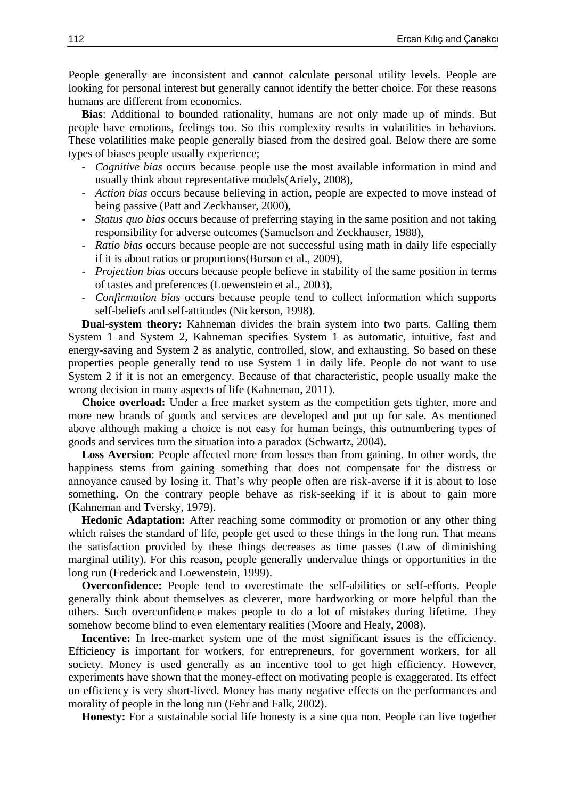People generally are inconsistent and cannot calculate personal utility levels. People are looking for personal interest but generally cannot identify the better choice. For these reasons humans are different from economics.

**Bias**: Additional to bounded rationality, humans are not only made up of minds. But people have emotions, feelings too. So this complexity results in volatilities in behaviors. These volatilities make people generally biased from the desired goal. Below there are some types of biases people usually experience;

- *Cognitive bias* occurs because people use the most available information in mind and usually think about representative models(Ariely, 2008),
- *Action bias* occurs because believing in action, people are expected to move instead of being passive (Patt and Zeckhauser, 2000),
- *Status quo bias* occurs because of preferring staying in the same position and not taking responsibility for adverse outcomes (Samuelson and Zeckhauser, 1988),
- *Ratio bias* occurs because people are not successful using math in daily life especially if it is about ratios or proportions(Burson et al., 2009),
- *Projection bias* occurs because people believe in stability of the same position in terms of tastes and preferences (Loewenstein et al., 2003),
- *Confirmation bias* occurs because people tend to collect information which supports self-beliefs and self-attitudes (Nickerson, 1998).

**Dual-system theory:** Kahneman divides the brain system into two parts. Calling them System 1 and System 2, Kahneman specifies System 1 as automatic, intuitive, fast and energy-saving and System 2 as analytic, controlled, slow, and exhausting. So based on these properties people generally tend to use System 1 in daily life. People do not want to use System 2 if it is not an emergency. Because of that characteristic, people usually make the wrong decision in many aspects of life (Kahneman, 2011).

**Choice overload:** Under a free market system as the competition gets tighter, more and more new brands of goods and services are developed and put up for sale. As mentioned above although making a choice is not easy for human beings, this outnumbering types of goods and services turn the situation into a paradox (Schwartz, 2004).

**Loss Aversion**: People affected more from losses than from gaining. In other words, the happiness stems from gaining something that does not compensate for the distress or annoyance caused by losing it. That's why people often are risk-averse if it is about to lose something. On the contrary people behave as risk-seeking if it is about to gain more (Kahneman and Tversky, 1979).

**Hedonic Adaptation:** After reaching some commodity or promotion or any other thing which raises the standard of life, people get used to these things in the long run. That means the satisfaction provided by these things decreases as time passes (Law of diminishing marginal utility). For this reason, people generally undervalue things or opportunities in the long run (Frederick and Loewenstein, 1999).

**Overconfidence:** People tend to overestimate the self-abilities or self-efforts. People generally think about themselves as cleverer, more hardworking or more helpful than the others. Such overconfidence makes people to do a lot of mistakes during lifetime. They somehow become blind to even elementary realities (Moore and Healy, 2008).

Incentive: In free-market system one of the most significant issues is the efficiency. Efficiency is important for workers, for entrepreneurs, for government workers, for all society. Money is used generally as an incentive tool to get high efficiency. However, experiments have shown that the money-effect on motivating people is exaggerated. Its effect on efficiency is very short-lived. Money has many negative effects on the performances and morality of people in the long run (Fehr and Falk, 2002).

**Honesty:** For a sustainable social life honesty is a sine qua non. People can live together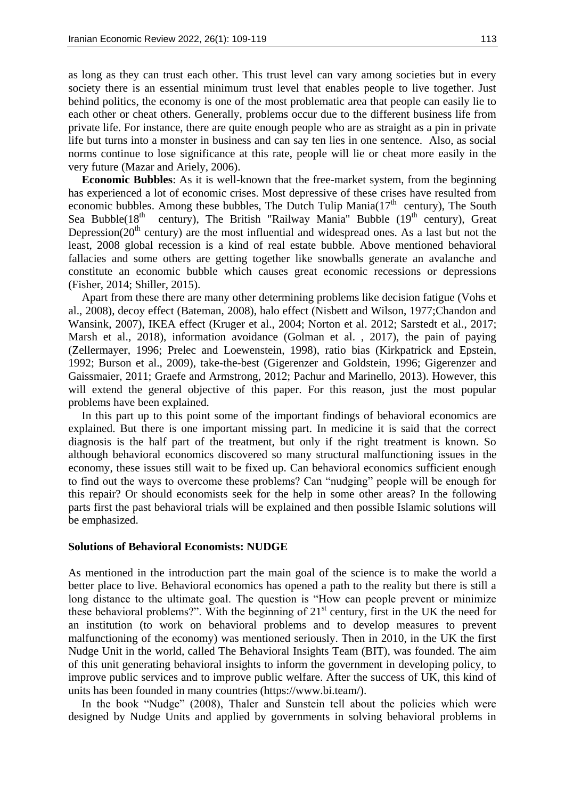as long as they can trust each other. This trust level can vary among societies but in every society there is an essential minimum trust level that enables people to live together. Just behind politics, the economy is one of the most problematic area that people can easily lie to each other or cheat others. Generally, problems occur due to the different business life from private life. For instance, there are quite enough people who are as straight as a pin in private life but turns into a monster in business and can say ten lies in one sentence. Also, as social norms continue to lose significance at this rate, people will lie or cheat more easily in the very future (Mazar and Ariely, 2006).

**Economic Bubbles**: As it is well-known that the free-market system, from the beginning has experienced a lot of economic crises. Most depressive of these crises have resulted from economic bubbles. Among these bubbles, The Dutch Tulip Mania $(17<sup>th</sup>$  century), The South Sea Bubble( $18<sup>th</sup>$  century), The British "Railway Mania" Bubble ( $19<sup>th</sup>$  century), Great Depression( $20<sup>th</sup>$  century) are the most influential and widespread ones. As a last but not the least, 2008 global recession is a kind of real estate bubble. Above mentioned behavioral fallacies and some others are getting together like snowballs generate an avalanche and constitute an economic bubble which causes great economic recessions or depressions (Fisher, 2014; Shiller, 2015).

Apart from these there are many other determining problems like decision fatigue (Vohs et al., 2008), decoy effect (Bateman, 2008), halo effect (Nisbett and Wilson, 1977;Chandon and Wansink, 2007), IKEA effect (Kruger et al., 2004; Norton et al. 2012; Sarstedt et al., 2017; Marsh et al., 2018), information avoidance (Golman et al. , 2017), the pain of paying (Zellermayer, 1996; Prelec and Loewenstein, 1998), ratio bias (Kirkpatrick and Epstein, 1992; Burson et al., 2009), take-the-best (Gigerenzer and Goldstein, 1996; Gigerenzer and Gaissmaier, 2011; Graefe and Armstrong, 2012; Pachur and Marinello, 2013). However, this will extend the general objective of this paper. For this reason, just the most popular problems have been explained.

In this part up to this point some of the important findings of behavioral economics are explained. But there is one important missing part. In medicine it is said that the correct diagnosis is the half part of the treatment, but only if the right treatment is known. So although behavioral economics discovered so many structural malfunctioning issues in the economy, these issues still wait to be fixed up. Can behavioral economics sufficient enough to find out the ways to overcome these problems? Can "nudging" people will be enough for this repair? Or should economists seek for the help in some other areas? In the following parts first the past behavioral trials will be explained and then possible Islamic solutions will be emphasized.

## **Solutions of Behavioral Economists: NUDGE**

As mentioned in the introduction part the main goal of the science is to make the world a better place to live. Behavioral economics has opened a path to the reality but there is still a long distance to the ultimate goal. The question is "How can people prevent or minimize these behavioral problems?". With the beginning of  $21<sup>st</sup>$  century, first in the UK the need for an institution (to work on behavioral problems and to develop measures to prevent malfunctioning of the economy) was mentioned seriously. Then in 2010, in the UK the first Nudge Unit in the world, called The Behavioral Insights Team (BIT), was founded. The aim of this unit generating behavioral insights to inform the government in developing policy, to improve public services and to improve public welfare. After the success of UK, this kind of units has been founded in many countries (https://www.bi.team/).

In the book "Nudge" (2008), Thaler and Sunstein tell about the policies which were designed by Nudge Units and applied by governments in solving behavioral problems in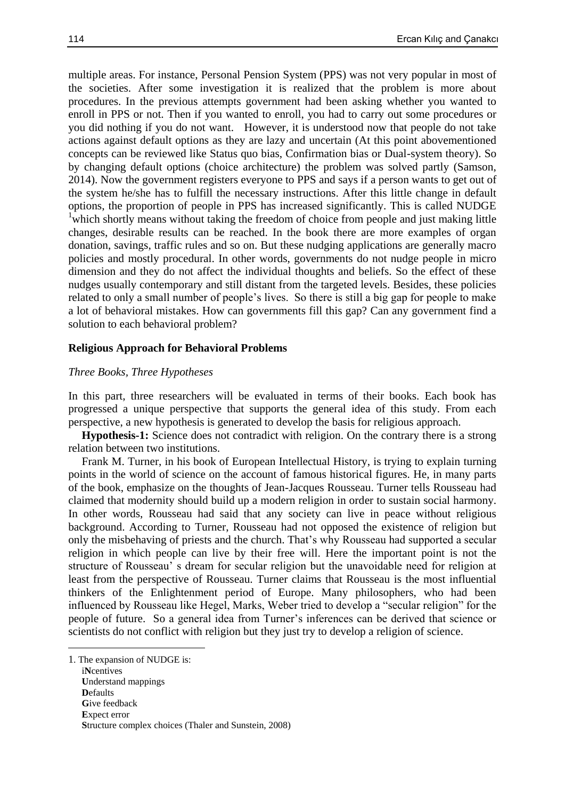multiple areas. For instance, Personal Pension System (PPS) was not very popular in most of the societies. After some investigation it is realized that the problem is more about procedures. In the previous attempts government had been asking whether you wanted to enroll in PPS or not. Then if you wanted to enroll, you had to carry out some procedures or you did nothing if you do not want. However, it is understood now that people do not take actions against default options as they are lazy and uncertain (At this point abovementioned concepts can be reviewed like Status quo bias, Confirmation bias or Dual-system theory). So by changing default options (choice architecture) the problem was solved partly (Samson, 2014). Now the government registers everyone to PPS and says if a person wants to get out of the system he/she has to fulfill the necessary instructions. After this little change in default options, the proportion of people in PPS has increased significantly. This is called NUDGE <sup>1</sup>which shortly means without taking the freedom of choice from people and just making little changes, desirable results can be reached. In the book there are more examples of organ donation, savings, traffic rules and so on. But these nudging applications are generally macro policies and mostly procedural. In other words, governments do not nudge people in micro dimension and they do not affect the individual thoughts and beliefs. So the effect of these nudges usually contemporary and still distant from the targeted levels. Besides, these policies related to only a small number of people's lives. So there is still a big gap for people to make a lot of behavioral mistakes. How can governments fill this gap? Can any government find a solution to each behavioral problem?

## **Religious Approach for Behavioral Problems**

#### *Three Books, Three Hypotheses*

In this part, three researchers will be evaluated in terms of their books. Each book has progressed a unique perspective that supports the general idea of this study. From each perspective, a new hypothesis is generated to develop the basis for religious approach.

**Hypothesis-1:** Science does not contradict with religion. On the contrary there is a strong relation between two institutions.

Frank M. Turner, in his book of European Intellectual History, is trying to explain turning points in the world of science on the account of famous historical figures. He, in many parts of the book, emphasize on the thoughts of Jean-Jacques Rousseau. Turner tells Rousseau had claimed that modernity should build up a modern religion in order to sustain social harmony. In other words, Rousseau had said that any society can live in peace without religious background. According to Turner, Rousseau had not opposed the existence of religion but only the misbehaving of priests and the church. That's why Rousseau had supported a secular religion in which people can live by their free will. Here the important point is not the structure of Rousseau' s dream for secular religion but the unavoidable need for religion at least from the perspective of Rousseau. Turner claims that Rousseau is the most influential thinkers of the Enlightenment period of Europe. Many philosophers, who had been influenced by Rousseau like Hegel, Marks, Weber tried to develop a "secular religion" for the people of future. So a general idea from Turner's inferences can be derived that science or scientists do not conflict with religion but they just try to develop a religion of science.

**.** 

<sup>1</sup>. The expansion of NUDGE is:

i**N**centives **U**nderstand mappings **D**efaults **G**ive feedback **E**xpect error **S**tructure complex choices (Thaler and Sunstein, 2008)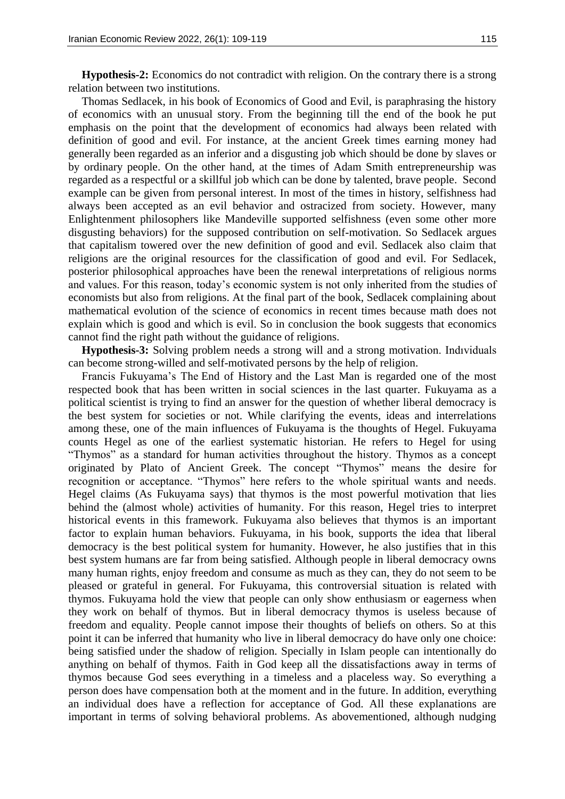**Hypothesis-2:** Economics do not contradict with religion. On the contrary there is a strong relation between two institutions.

Thomas Sedlacek, in his book of Economics of Good and Evil, is paraphrasing the history of economics with an unusual story. From the beginning till the end of the book he put emphasis on the point that the development of economics had always been related with definition of good and evil. For instance, at the ancient Greek times earning money had generally been regarded as an inferior and a disgusting job which should be done by slaves or by ordinary people. On the other hand, at the times of Adam Smith entrepreneurship was regarded as a respectful or a skillful job which can be done by talented, brave people. Second example can be given from personal interest. In most of the times in history, selfishness had always been accepted as an evil behavior and ostracized from society. However, many Enlightenment philosophers like Mandeville supported selfishness (even some other more disgusting behaviors) for the supposed contribution on self-motivation. So Sedlacek argues that capitalism towered over the new definition of good and evil. Sedlacek also claim that religions are the original resources for the classification of good and evil. For Sedlacek, posterior philosophical approaches have been the renewal interpretations of religious norms and values. For this reason, today's economic system is not only inherited from the studies of economists but also from religions. At the final part of the book, Sedlacek complaining about mathematical evolution of the science of economics in recent times because math does not explain which is good and which is evil. So in conclusion the book suggests that economics cannot find the right path without the guidance of religions.

**Hypothesis-3:** Solving problem needs a strong will and a strong motivation. Indıviduals can become strong-willed and self-motivated persons by the help of religion.

Francis Fukuyama's The End of History and the Last Man is regarded one of the most respected book that has been written in social sciences in the last quarter. Fukuyama as a political scientist is trying to find an answer for the question of whether liberal democracy is the best system for societies or not. While clarifying the events, ideas and interrelations among these, one of the main influences of Fukuyama is the thoughts of Hegel. Fukuyama counts Hegel as one of the earliest systematic historian. He refers to Hegel for using "Thymos" as a standard for human activities throughout the history. Thymos as a concept originated by Plato of Ancient Greek. The concept "Thymos" means the desire for recognition or acceptance. "Thymos" here refers to the whole spiritual wants and needs. Hegel claims (As Fukuyama says) that thymos is the most powerful motivation that lies behind the (almost whole) activities of humanity. For this reason, Hegel tries to interpret historical events in this framework. Fukuyama also believes that thymos is an important factor to explain human behaviors. Fukuyama, in his book, supports the idea that liberal democracy is the best political system for humanity. However, he also justifies that in this best system humans are far from being satisfied. Although people in liberal democracy owns many human rights, enjoy freedom and consume as much as they can, they do not seem to be pleased or grateful in general. For Fukuyama, this controversial situation is related with thymos. Fukuyama hold the view that people can only show enthusiasm or eagerness when they work on behalf of thymos. But in liberal democracy thymos is useless because of freedom and equality. People cannot impose their thoughts of beliefs on others. So at this point it can be inferred that humanity who live in liberal democracy do have only one choice: being satisfied under the shadow of religion. Specially in Islam people can intentionally do anything on behalf of thymos. Faith in God keep all the dissatisfactions away in terms of thymos because God sees everything in a timeless and a placeless way. So everything a person does have compensation both at the moment and in the future. In addition, everything an individual does have a reflection for acceptance of God. All these explanations are important in terms of solving behavioral problems. As abovementioned, although nudging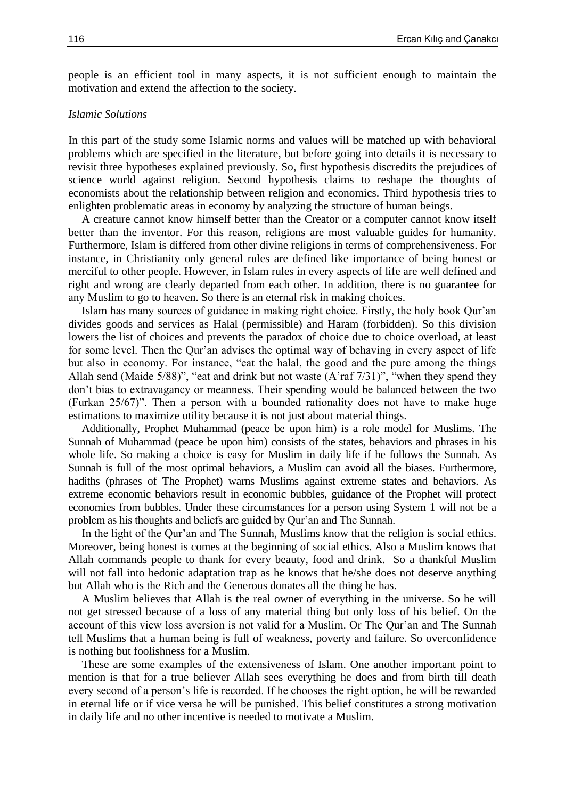people is an efficient tool in many aspects, it is not sufficient enough to maintain the motivation and extend the affection to the society.

### *Islamic Solutions*

In this part of the study some Islamic norms and values will be matched up with behavioral problems which are specified in the literature, but before going into details it is necessary to revisit three hypotheses explained previously. So, first hypothesis discredits the prejudices of science world against religion. Second hypothesis claims to reshape the thoughts of economists about the relationship between religion and economics. Third hypothesis tries to enlighten problematic areas in economy by analyzing the structure of human beings.

A creature cannot know himself better than the Creator or a computer cannot know itself better than the inventor. For this reason, religions are most valuable guides for humanity. Furthermore, Islam is differed from other divine religions in terms of comprehensiveness. For instance, in Christianity only general rules are defined like importance of being honest or merciful to other people. However, in Islam rules in every aspects of life are well defined and right and wrong are clearly departed from each other. In addition, there is no guarantee for any Muslim to go to heaven. So there is an eternal risk in making choices.

Islam has many sources of guidance in making right choice. Firstly, the holy book Qur'an divides goods and services as Halal (permissible) and Haram (forbidden). So this division lowers the list of choices and prevents the paradox of choice due to choice overload, at least for some level. Then the Qur'an advises the optimal way of behaving in every aspect of life but also in economy. For instance, "eat the halal, the good and the pure among the things Allah send (Maide 5/88)", "eat and drink but not waste (A'raf 7/31)", "when they spend they don't bias to extravagancy or meanness. Their spending would be balanced between the two (Furkan 25/67)". Then a person with a bounded rationality does not have to make huge estimations to maximize utility because it is not just about material things.

Additionally, Prophet Muhammad (peace be upon him) is a role model for Muslims. The Sunnah of Muhammad (peace be upon him) consists of the states, behaviors and phrases in his whole life. So making a choice is easy for Muslim in daily life if he follows the Sunnah. As Sunnah is full of the most optimal behaviors, a Muslim can avoid all the biases. Furthermore, hadiths (phrases of The Prophet) warns Muslims against extreme states and behaviors. As extreme economic behaviors result in economic bubbles, guidance of the Prophet will protect economies from bubbles. Under these circumstances for a person using System 1 will not be a problem as his thoughts and beliefs are guided by Qur'an and The Sunnah.

In the light of the Qur'an and The Sunnah, Muslims know that the religion is social ethics. Moreover, being honest is comes at the beginning of social ethics. Also a Muslim knows that Allah commands people to thank for every beauty, food and drink. So a thankful Muslim will not fall into hedonic adaptation trap as he knows that he/she does not deserve anything but Allah who is the Rich and the Generous donates all the thing he has.

A Muslim believes that Allah is the real owner of everything in the universe. So he will not get stressed because of a loss of any material thing but only loss of his belief. On the account of this view loss aversion is not valid for a Muslim. Or The Qur'an and The Sunnah tell Muslims that a human being is full of weakness, poverty and failure. So overconfidence is nothing but foolishness for a Muslim.

These are some examples of the extensiveness of Islam. One another important point to mention is that for a true believer Allah sees everything he does and from birth till death every second of a person's life is recorded. If he chooses the right option, he will be rewarded in eternal life or if vice versa he will be punished. This belief constitutes a strong motivation in daily life and no other incentive is needed to motivate a Muslim.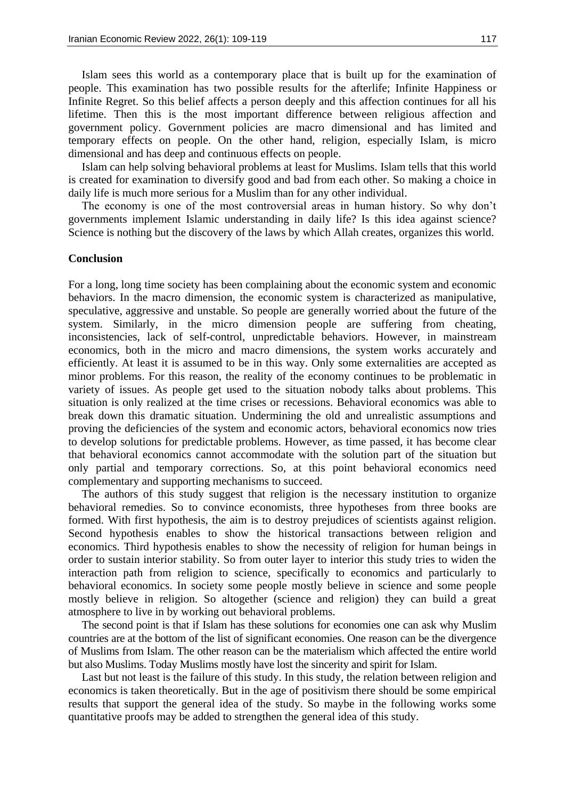Islam sees this world as a contemporary place that is built up for the examination of people. This examination has two possible results for the afterlife; Infinite Happiness or Infinite Regret. So this belief affects a person deeply and this affection continues for all his lifetime. Then this is the most important difference between religious affection and government policy. Government policies are macro dimensional and has limited and temporary effects on people. On the other hand, religion, especially Islam, is micro dimensional and has deep and continuous effects on people.

Islam can help solving behavioral problems at least for Muslims. Islam tells that this world is created for examination to diversify good and bad from each other. So making a choice in daily life is much more serious for a Muslim than for any other individual.

The economy is one of the most controversial areas in human history. So why don't governments implement Islamic understanding in daily life? Is this idea against science? Science is nothing but the discovery of the laws by which Allah creates, organizes this world.

## **Conclusion**

For a long, long time society has been complaining about the economic system and economic behaviors. In the macro dimension, the economic system is characterized as manipulative, speculative, aggressive and unstable. So people are generally worried about the future of the system. Similarly, in the micro dimension people are suffering from cheating, inconsistencies, lack of self-control, unpredictable behaviors. However, in mainstream economics, both in the micro and macro dimensions, the system works accurately and efficiently. At least it is assumed to be in this way. Only some externalities are accepted as minor problems. For this reason, the reality of the economy continues to be problematic in variety of issues. As people get used to the situation nobody talks about problems. This situation is only realized at the time crises or recessions. Behavioral economics was able to break down this dramatic situation. Undermining the old and unrealistic assumptions and proving the deficiencies of the system and economic actors, behavioral economics now tries to develop solutions for predictable problems. However, as time passed, it has become clear that behavioral economics cannot accommodate with the solution part of the situation but only partial and temporary corrections. So, at this point behavioral economics need complementary and supporting mechanisms to succeed.

The authors of this study suggest that religion is the necessary institution to organize behavioral remedies. So to convince economists, three hypotheses from three books are formed. With first hypothesis, the aim is to destroy prejudices of scientists against religion. Second hypothesis enables to show the historical transactions between religion and economics. Third hypothesis enables to show the necessity of religion for human beings in order to sustain interior stability. So from outer layer to interior this study tries to widen the interaction path from religion to science, specifically to economics and particularly to behavioral economics. In society some people mostly believe in science and some people mostly believe in religion. So altogether (science and religion) they can build a great atmosphere to live in by working out behavioral problems.

The second point is that if Islam has these solutions for economies one can ask why Muslim countries are at the bottom of the list of significant economies. One reason can be the divergence of Muslims from Islam. The other reason can be the materialism which affected the entire world but also Muslims. Today Muslims mostly have lost the sincerity and spirit for Islam.

Last but not least is the failure of this study. In this study, the relation between religion and economics is taken theoretically. But in the age of positivism there should be some empirical results that support the general idea of the study. So maybe in the following works some quantitative proofs may be added to strengthen the general idea of this study.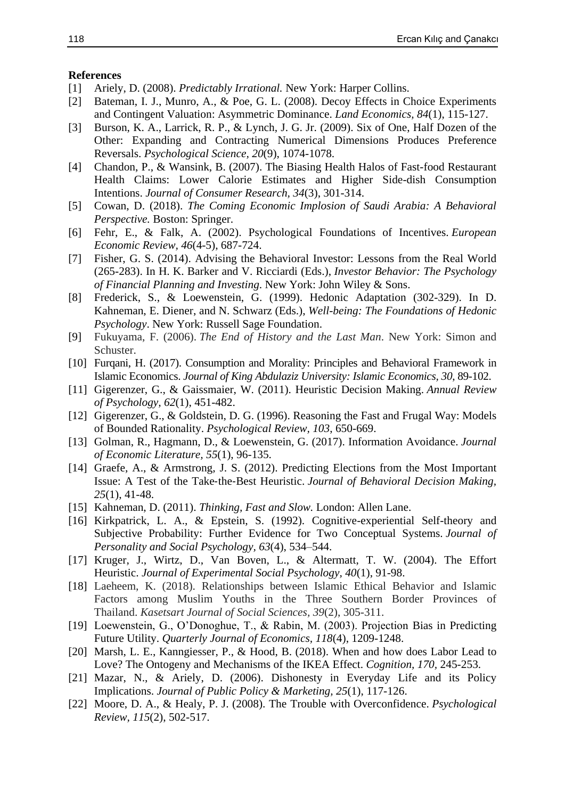#### **References**

- [1] Ariely, D. (2008). *Predictably Irrational*. New York: Harper Collins.
- [2] Bateman, I. J., Munro, A., & Poe, G. L. (2008). Decoy Effects in Choice Experiments and Contingent Valuation: Asymmetric Dominance. *Land Economics, 84*(1), 115-127.
- [3] Burson, K. A., Larrick, R. P., & Lynch, J. G. Jr. (2009). Six of One, Half Dozen of the Other: Expanding and Contracting Numerical Dimensions Produces Preference Reversals. *Psychological Science, 20*(9), 1074-1078.
- [4] Chandon, P., & Wansink, B. (2007). The Biasing Health Halos of Fast-food Restaurant Health Claims: Lower Calorie Estimates and Higher Side-dish Consumption Intentions. *Journal of Consumer Research, 34*(3), 301-314.
- [5] Cowan, D. (2018). *The Coming Economic Implosion of Saudi Arabia: A Behavioral Perspective.* Boston: Springer.
- [6] Fehr, E., & Falk, A. (2002). Psychological Foundations of Incentives. *European Economic Review, 46*(4-5), 687-724.
- [7] Fisher, G. S. (2014). Advising the Behavioral Investor: Lessons from the Real World (265-283). In H. K. Barker and V. Ricciardi (Eds.), *Investor Behavior: The Psychology of Financial Planning and Investing*. New York: John Wiley & Sons.
- [8] Frederick, S., & Loewenstein, G. (1999). Hedonic Adaptation (302-329). In D. Kahneman, E. Diener, and N. Schwarz (Eds.), *Well-being: The Foundations of Hedonic Psychology*. New York: Russell Sage Foundation.
- [9] Fukuyama, F. (2006). *The End of History and the Last Man*. New York: Simon and Schuster.
- [10] Furqani, H. (2017). Consumption and Morality: Principles and Behavioral Framework in Islamic Economics. *Journal of King Abdulaziz University: Islamic Economics, 30*, 89-102.
- [11] Gigerenzer, G., & Gaissmaier, W. (2011). Heuristic Decision Making. *Annual Review of Psychology, 62*(1), 451-482.
- [12] Gigerenzer, G., & Goldstein, D. G. (1996). Reasoning the Fast and Frugal Way: Models of Bounded Rationality. *Psychological Review, 103*, 650-669.
- [13] Golman, R., Hagmann, D., & Loewenstein, G. (2017). Information Avoidance. *Journal of Economic Literature, 55*(1), 96-135.
- [14] Graefe, A., & Armstrong, J. S. (2012). Predicting Elections from the Most Important Issue: A Test of the Take‐the‐Best Heuristic. *Journal of Behavioral Decision Making, 25*(1), 41-48.
- [15] Kahneman, D. (2011). *Thinking, Fast and Slow.* London: Allen Lane.
- [16] Kirkpatrick, L. A., & Epstein, S. (1992). Cognitive-experiential Self-theory and Subjective Probability: Further Evidence for Two Conceptual Systems. *Journal of Personality and Social Psychology, 63*(4), 534–544.
- [17] Kruger, J., Wirtz, D., Van Boven, L., & Altermatt, T. W. (2004). The Effort Heuristic. *Journal of Experimental Social Psychology, 40*(1), 91-98.
- [18] Laeheem, K. (2018). Relationships between Islamic Ethical Behavior and Islamic Factors among Muslim Youths in the Three Southern Border Provinces of Thailand. *Kasetsart Journal of Social Sciences, 39*(2), 305-311.
- [19] Loewenstein, G., O'Donoghue, T., & Rabin, M. (2003). Projection Bias in Predicting Future Utility. *Quarterly Journal of Economics, 118*(4), 1209-1248.
- [20] Marsh, L. E., Kanngiesser, P., & Hood, B. (2018). When and how does Labor Lead to Love? The Ontogeny and Mechanisms of the IKEA Effect. *Cognition, 170,* 245-253.
- [21] Mazar, N., & Ariely, D. (2006). Dishonesty in Everyday Life and its Policy Implications. *Journal of Public Policy & Marketing, 25*(1), 117-126.
- [22] Moore, D. A., & Healy, P. J. (2008). The Trouble with Overconfidence. *Psychological Review, 115*(2), 502-517.